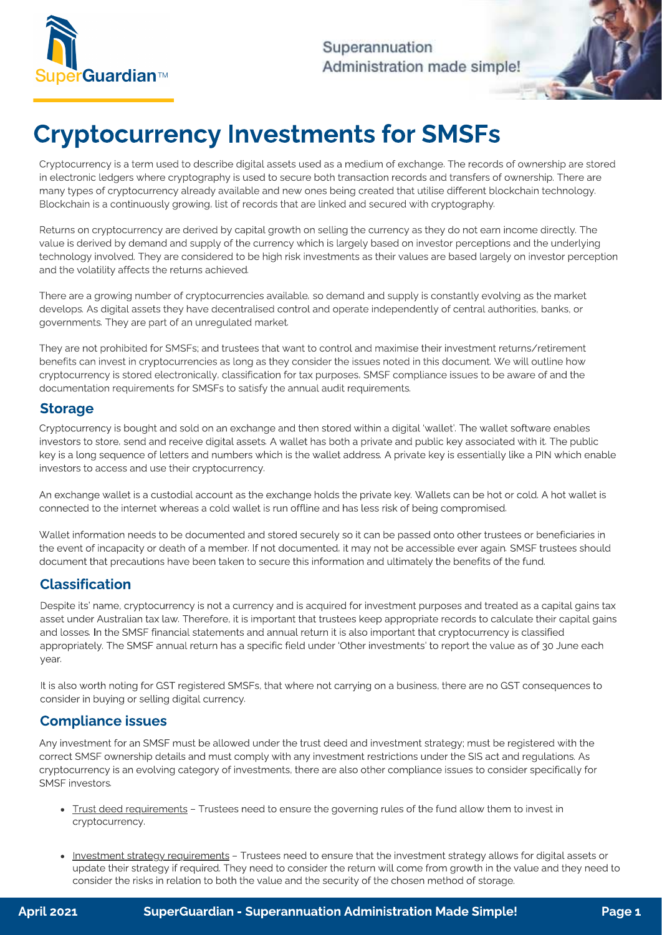

Superannuation Administration made simple!

# Cryptocurrency Investments for SMSFs

Cryptocurrency is a term used to describe digital assets used as a medium of exchange. The records of ownership are stored<br>in electronic ledgers where cryptography is used to secure both transaction records and transfers o many types of cryptocurrency already available and new ones being created that utilise different blockchain technology. many types of cryptocurrency and new operations of cryptocurrency and new operators and new operators and new operators of cryptocurrency and new operators and new operators of continuously available different block and co Blockchain is a continuously growing, list of records that are linked and secured with cryptography.

Returns on cryptocurrency are derived by capital growth on selling the currency as they do not earn income directly. The<br>value is derived by demand and supply of the currency which is largely based on investor perceptions technology involved. They are considered to be high risk investments as their values are based largely on investor perception  $t_{\text{ref}}$  is a reconstructed to be high risk investments as the first investments as the set  $\alpha$  and  $\beta$  on  $\beta$  investor perception and the volatility affects the returns achieved.

There are a growing number of cryptocurrencies available, so demand and supply is constantly evolving as the market<br>develops. As digital assets they have decentralised control and operate independently of central authoriti develops. As digital assets they have detected control and operating products the product of central authorities, banks, or central authorities, banks, or central authorities, banks, or central authorities, or central auth governments. They are part of an unregulated market.

They are not prohibited for SMSFs; and trustees that want to control and maximise their investment returns/retirement<br>benefits can invest in cryptocurrencies as long as they consider the issues noted in this document. We w cryptocurrency is stored electronically, classification for tax purposes, SMSF compliance issues to be aware of and the computation for internation for the cryptocurrency is stored electronically, and the and the and the and the and the and the and the and the and the and the and the and the and the and the and the and the and the and the a documentation requirements for SMSFs to satisfy the annual audit requirements.

# **Storage**

Cryptocurrency is bought and sold on an exchange and then stored within a digital 'wallet'. The wallet software enables<br>investors to store, send and receive digital assets. A wallet has both a private and public key associ key is a long sequence of letters and numbers which is the wallet address. A private key is essentially like a PIN which enable key is a long sequence of letters and numbers which is the wallet address. A private key is essentially like a PIN which enable investors to access and use their cryptocurrency.

connected to the internet whereas a cold wallet is run efflipe and beclose rick of being compromised connected to the internet whereas a cold wallet is run offline and has less risk of being compromised.

Wallet information needs to be documented and stored securely so it can be passed onto other trustees or beneficiaries in<br>the event of incapacity or death of a member. If not documented, it may not be accessible ever again document that precautions have been taken to secure this information and ultimately the benefits of the fund. document that precautions have been taken to secure this information and ultimately the benefits of the fund.

# Classification

Despite its' name, cryptocurrency is not a currency and is acquired for investment purposes and treated as a capital gains tax<br>asset under Australian tax law. Therefore, it is important that trustees keep appropriate recor and losses. In the SMSF financial statements and annual return it is also important that cryptocurrency is classified appropriately. The SMSF annual return has a specific field under 'Other investments' to report the value as of 30 June each appropriately. The SMSF annual return has a specific field under 'Other investments' to report the value as of 30 June each year.

 $\overline{\text{SUS}}$  is also words words words  $\overline{\text{SUS}}$  registered  $\overline{\text{SUS}}$  registered  $\overline{\text{SUS}}$  consequences to  $\overline{\text{SUS}}$ consider in buying or selling digital currency.

# Compliance issues

Any investment for an SMSF must be allowed under the trust deed and investment strategy; must be registered with the<br>correct SMSF ownership details and must comply with any investment restrictions under the SIS act and reg correct SMSF ownership details and must comply with any investment restrictions under the SIS act and regulations under the SIS and regulations under the SIS act and regulations under the SIS act and regulations. As  $\alpha$ cryptocurrency is an evolving category of investments, there are also other compliance issues to consider specifically for SMSF investors.

- Trust deed requirements Trustees need to ensure the governing rules of the fund allow them to invest in cryptocurrency.
- <u>Investment strategy requirements</u> Trustees need to ensure that the investment strategy allows for digital assets or<br>update their strategy if required. They need to consider the return will come from growth in the value  $\epsilon$  operator the ricks in relation to both the value and the security of the chosen method of storage. consider the risks in relation to both the value and the security of the chosen method of storage.